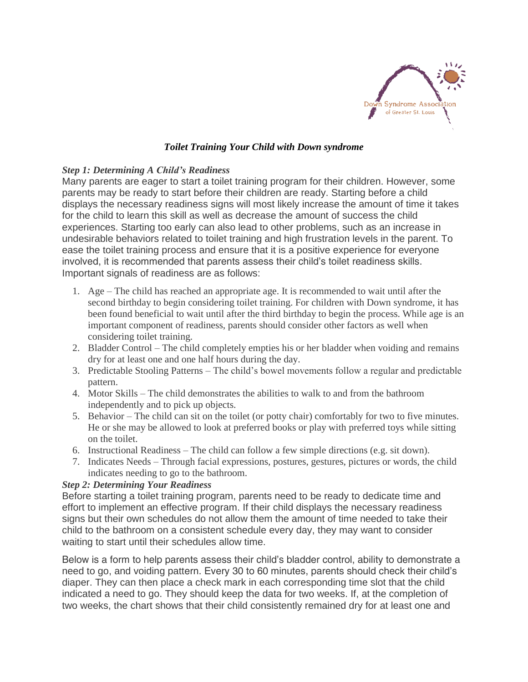

# *Toilet Training Your Child with Down syndrome*

## *Step 1: Determining A Child's Readiness*

Many parents are eager to start a toilet training program for their children. However, some parents may be ready to start before their children are ready. Starting before a child displays the necessary readiness signs will most likely increase the amount of time it takes for the child to learn this skill as well as decrease the amount of success the child experiences. Starting too early can also lead to other problems, such as an increase in undesirable behaviors related to toilet training and high frustration levels in the parent. To ease the toilet training process and ensure that it is a positive experience for everyone involved, it is recommended that parents assess their child's toilet readiness skills. Important signals of readiness are as follows:

- 1. Age The child has reached an appropriate age. It is recommended to wait until after the second birthday to begin considering toilet training. For children with Down syndrome, it has been found beneficial to wait until after the third birthday to begin the process. While age is an important component of readiness, parents should consider other factors as well when considering toilet training.
- 2. Bladder Control The child completely empties his or her bladder when voiding and remains dry for at least one and one half hours during the day.
- 3. Predictable Stooling Patterns The child's bowel movements follow a regular and predictable pattern.
- 4. Motor Skills The child demonstrates the abilities to walk to and from the bathroom independently and to pick up objects.
- 5. Behavior The child can sit on the toilet (or potty chair) comfortably for two to five minutes. He or she may be allowed to look at preferred books or play with preferred toys while sitting on the toilet.
- 6. Instructional Readiness The child can follow a few simple directions (e.g. sit down).
- 7. Indicates Needs Through facial expressions, postures, gestures, pictures or words, the child indicates needing to go to the bathroom.

# *Step 2: Determining Your Readiness*

Before starting a toilet training program, parents need to be ready to dedicate time and effort to implement an effective program. If their child displays the necessary readiness signs but their own schedules do not allow them the amount of time needed to take their child to the bathroom on a consistent schedule every day, they may want to consider waiting to start until their schedules allow time.

Below is a form to help parents assess their child's bladder control, ability to demonstrate a need to go, and voiding pattern. Every 30 to 60 minutes, parents should check their child's diaper. They can then place a check mark in each corresponding time slot that the child indicated a need to go. They should keep the data for two weeks. If, at the completion of two weeks, the chart shows that their child consistently remained dry for at least one and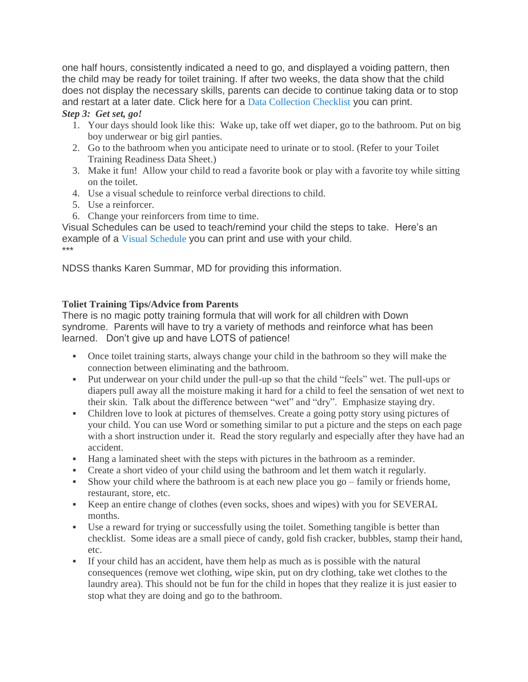one half hours, consistently indicated a need to go, and displayed a voiding pattern, then the child may be ready for toilet training. If after two weeks, the data show that the child does not display the necessary skills, parents can decide to continue taking data or to stop and restart at a later date. Click here for a Data [Collection](http://dsagsl-backup.flywheelsites.com/wp-content/uploads/2017/06/Data-Collection-Checlist.pdf) Checklist you can print. *Step 3: Get set, go!*

- 1. Your days should look like this: Wake up, take off wet diaper, go to the bathroom. Put on big boy underwear or big girl panties.
- 2. Go to the bathroom when you anticipate need to urinate or to stool. (Refer to your Toilet Training Readiness Data Sheet.)
- 3. Make it fun! Allow your child to read a favorite book or play with a favorite toy while sitting on the toilet.
- 4. Use a visual schedule to reinforce verbal directions to child.
- 5. Use a reinforcer.
- 6. Change your reinforcers from time to time.

Visual Schedules can be used to teach/remind your child the steps to take. Here's an example of a Visual [Schedule](http://dsagsl-backup.flywheelsites.com/wp-content/uploads/2017/06/Visual-Scheudle.pdf) you can print and use with your child. \*\*\*

NDSS thanks Karen Summar, MD for providing this information.

### **Toliet Training Tips/Advice from Parents**

There is no magic potty training formula that will work for all children with Down syndrome. Parents will have to try a variety of methods and reinforce what has been learned. Don't give up and have LOTS of patience!

- Once toilet training starts, always change your child in the bathroom so they will make the connection between eliminating and the bathroom.
- Put underwear on your child under the pull-up so that the child "feels" wet. The pull-ups or diapers pull away all the moisture making it hard for a child to feel the sensation of wet next to their skin. Talk about the difference between "wet" and "dry". Emphasize staying dry.
- Children love to look at pictures of themselves. Create a going potty story using pictures of your child. You can use Word or something similar to put a picture and the steps on each page with a short instruction under it. Read the story regularly and especially after they have had an accident.
- Hang a laminated sheet with the steps with pictures in the bathroom as a reminder.
- Create a short video of your child using the bathroom and let them watch it regularly.
- Show your child where the bathroom is at each new place you go family or friends home, restaurant, store, etc.
- Keep an entire change of clothes (even socks, shoes and wipes) with you for SEVERAL months.
- Use a reward for trying or successfully using the toilet. Something tangible is better than checklist. Some ideas are a small piece of candy, gold fish cracker, bubbles, stamp their hand, etc.
- If your child has an accident, have them help as much as is possible with the natural consequences (remove wet clothing, wipe skin, put on dry clothing, take wet clothes to the laundry area). This should not be fun for the child in hopes that they realize it is just easier to stop what they are doing and go to the bathroom.